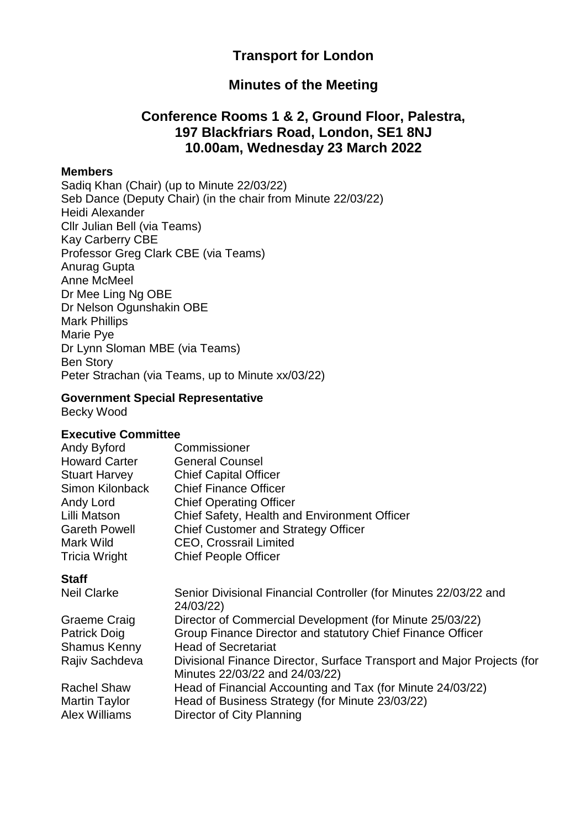# **Transport for London**

### **Minutes of the Meeting**

## **Conference Rooms 1 & 2, Ground Floor, Palestra, 197 Blackfriars Road, London, SE1 8NJ 10.00am, Wednesday 23 March 2022**

#### **Members**

Sadiq Khan (Chair) (up to Minute 22/03/22) Seb Dance (Deputy Chair) (in the chair from Minute 22/03/22) Heidi Alexander Cllr Julian Bell (via Teams) Kay Carberry CBE Professor Greg Clark CBE (via Teams) Anurag Gupta Anne McMeel Dr Mee Ling Ng OBE Dr Nelson Ogunshakin OBE Mark Phillips Marie Pye Dr Lynn Sloman MBE (via Teams) Ben Story Peter Strachan (via Teams, up to Minute xx/03/22)

### **Government Special Representative**

Becky Wood

#### **Executive Committee**

| Commissioner                                 |
|----------------------------------------------|
| <b>General Counsel</b>                       |
| <b>Chief Capital Officer</b>                 |
| <b>Chief Finance Officer</b>                 |
| <b>Chief Operating Officer</b>               |
| Chief Safety, Health and Environment Officer |
| <b>Chief Customer and Strategy Officer</b>   |
| <b>CEO, Crossrail Limited</b>                |
| <b>Chief People Officer</b>                  |
|                                              |

#### **Staff**

| <b>Neil Clarke</b>   | Senior Divisional Financial Controller (for Minutes 22/03/22 and       |
|----------------------|------------------------------------------------------------------------|
|                      | 24/03/22)                                                              |
| Graeme Craig         | Director of Commercial Development (for Minute 25/03/22)               |
| <b>Patrick Doig</b>  | Group Finance Director and statutory Chief Finance Officer             |
| <b>Shamus Kenny</b>  | <b>Head of Secretariat</b>                                             |
| Rajiv Sachdeva       | Divisional Finance Director, Surface Transport and Major Projects (for |
|                      | Minutes 22/03/22 and 24/03/22)                                         |
| <b>Rachel Shaw</b>   | Head of Financial Accounting and Tax (for Minute 24/03/22)             |
| <b>Martin Taylor</b> | Head of Business Strategy (for Minute 23/03/22)                        |
| <b>Alex Williams</b> | Director of City Planning                                              |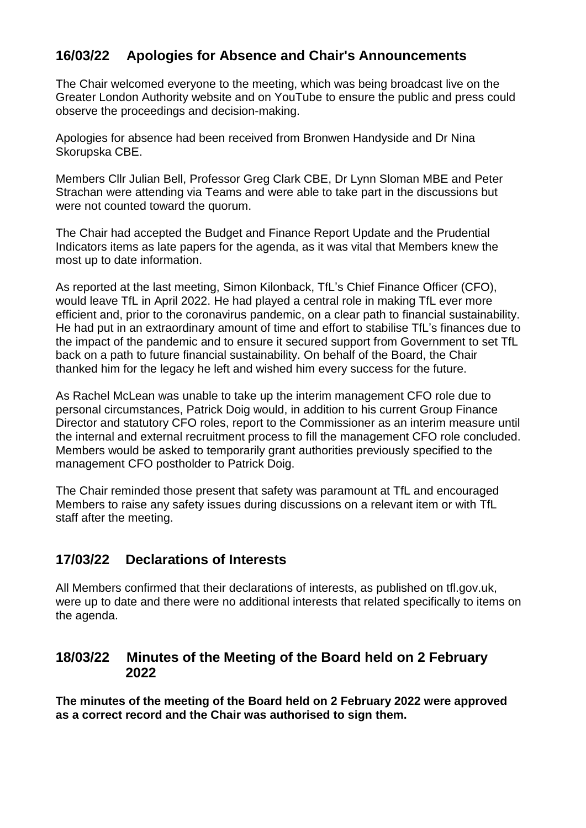# **16/03/22 Apologies for Absence and Chair's Announcements**

The Chair welcomed everyone to the meeting, which was being broadcast live on the Greater London Authority website and on YouTube to ensure the public and press could observe the proceedings and decision-making.

Apologies for absence had been received from Bronwen Handyside and Dr Nina Skorupska CBE.

Members Cllr Julian Bell, Professor Greg Clark CBE, Dr Lynn Sloman MBE and Peter Strachan were attending via Teams and were able to take part in the discussions but were not counted toward the quorum.

The Chair had accepted the Budget and Finance Report Update and the Prudential Indicators items as late papers for the agenda, as it was vital that Members knew the most up to date information.

As reported at the last meeting, Simon Kilonback, TfL's Chief Finance Officer (CFO), would leave TfL in April 2022. He had played a central role in making TfL ever more efficient and, prior to the coronavirus pandemic, on a clear path to financial sustainability. He had put in an extraordinary amount of time and effort to stabilise TfL's finances due to the impact of the pandemic and to ensure it secured support from Government to set TfL back on a path to future financial sustainability. On behalf of the Board, the Chair thanked him for the legacy he left and wished him every success for the future.

As Rachel McLean was unable to take up the interim management CFO role due to personal circumstances, Patrick Doig would, in addition to his current Group Finance Director and statutory CFO roles, report to the Commissioner as an interim measure until the internal and external recruitment process to fill the management CFO role concluded. Members would be asked to temporarily grant authorities previously specified to the management CFO postholder to Patrick Doig.

The Chair reminded those present that safety was paramount at TfL and encouraged Members to raise any safety issues during discussions on a relevant item or with TfL staff after the meeting.

## **17/03/22 Declarations of Interests**

All Members confirmed that their declarations of interests, as published on tfl.gov.uk, were up to date and there were no additional interests that related specifically to items on the agenda.

### **18/03/22 Minutes of the Meeting of the Board held on 2 February 2022**

**The minutes of the meeting of the Board held on 2 February 2022 were approved as a correct record and the Chair was authorised to sign them.**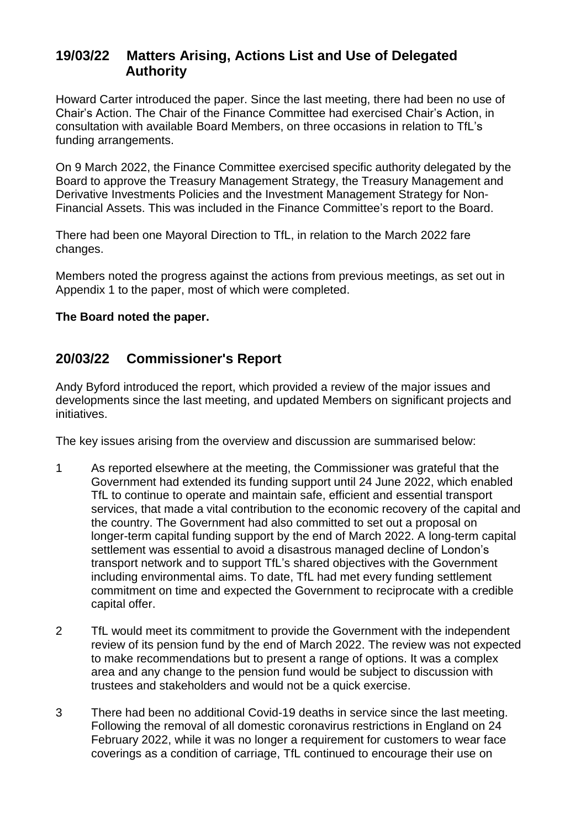# **19/03/22 Matters Arising, Actions List and Use of Delegated Authority**

Howard Carter introduced the paper. Since the last meeting, there had been no use of Chair's Action. The Chair of the Finance Committee had exercised Chair's Action, in consultation with available Board Members, on three occasions in relation to TfL's funding arrangements.

On 9 March 2022, the Finance Committee exercised specific authority delegated by the Board to approve the Treasury Management Strategy, the Treasury Management and Derivative Investments Policies and the Investment Management Strategy for Non-Financial Assets. This was included in the Finance Committee's report to the Board.

There had been one Mayoral Direction to TfL, in relation to the March 2022 fare changes.

Members noted the progress against the actions from previous meetings, as set out in Appendix 1 to the paper, most of which were completed.

#### **The Board noted the paper.**

### **20/03/22 Commissioner's Report**

Andy Byford introduced the report, which provided a review of the major issues and developments since the last meeting, and updated Members on significant projects and initiatives.

The key issues arising from the overview and discussion are summarised below:

- 1 As reported elsewhere at the meeting, the Commissioner was grateful that the Government had extended its funding support until 24 June 2022, which enabled TfL to continue to operate and maintain safe, efficient and essential transport services, that made a vital contribution to the economic recovery of the capital and the country. The Government had also committed to set out a proposal on longer-term capital funding support by the end of March 2022. A long-term capital settlement was essential to avoid a disastrous managed decline of London's transport network and to support TfL's shared objectives with the Government including environmental aims. To date, TfL had met every funding settlement commitment on time and expected the Government to reciprocate with a credible capital offer.
- 2 TfL would meet its commitment to provide the Government with the independent review of its pension fund by the end of March 2022. The review was not expected to make recommendations but to present a range of options. It was a complex area and any change to the pension fund would be subject to discussion with trustees and stakeholders and would not be a quick exercise.
- 3 There had been no additional Covid-19 deaths in service since the last meeting. Following the removal of all domestic coronavirus restrictions in England on 24 February 2022, while it was no longer a requirement for customers to wear face coverings as a condition of carriage, TfL continued to encourage their use on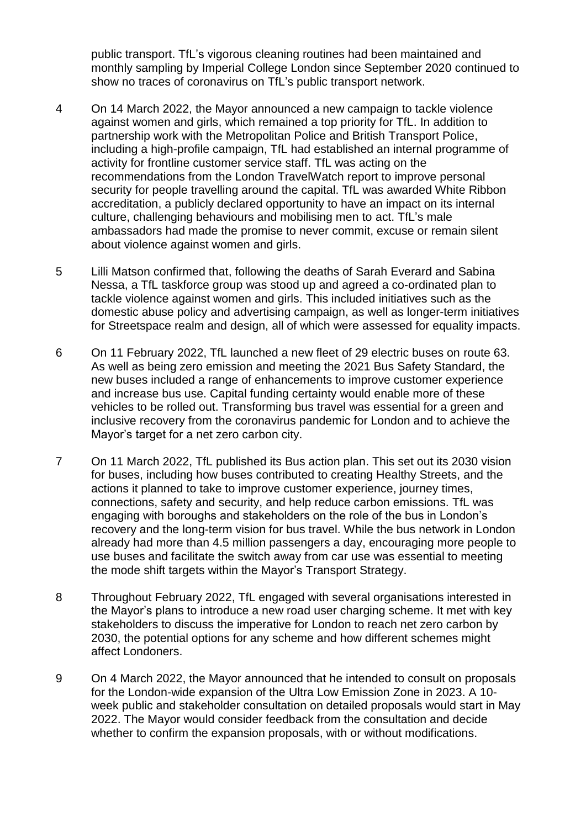public transport. TfL's vigorous cleaning routines had been maintained and monthly sampling by Imperial College London since September 2020 continued to show no traces of coronavirus on TfL's public transport network.

- 4 On 14 March 2022, the Mayor announced a new campaign to tackle violence against women and girls, which remained a top priority for TfL. In addition to partnership work with the Metropolitan Police and British Transport Police, including a high-profile campaign, TfL had established an internal programme of activity for frontline customer service staff. TfL was acting on the recommendations from the London TravelWatch report to improve personal security for people travelling around the capital. TfL was awarded White Ribbon accreditation, a publicly declared opportunity to have an impact on its internal culture, challenging behaviours and mobilising men to act. TfL's male ambassadors had made the promise to never commit, excuse or remain silent about violence against women and girls.
- 5 Lilli Matson confirmed that, following the deaths of Sarah Everard and Sabina Nessa, a TfL taskforce group was stood up and agreed a co-ordinated plan to tackle violence against women and girls. This included initiatives such as the domestic abuse policy and advertising campaign, as well as longer-term initiatives for Streetspace realm and design, all of which were assessed for equality impacts.
- 6 On 11 February 2022, TfL launched a new fleet of 29 electric buses on route 63. As well as being zero emission and meeting the 2021 Bus Safety Standard, the new buses included a range of enhancements to improve customer experience and increase bus use. Capital funding certainty would enable more of these vehicles to be rolled out. Transforming bus travel was essential for a green and inclusive recovery from the coronavirus pandemic for London and to achieve the Mayor's target for a net zero carbon city.
- 7 On 11 March 2022, TfL published its Bus action plan. This set out its 2030 vision for buses, including how buses contributed to creating Healthy Streets, and the actions it planned to take to improve customer experience, journey times, connections, safety and security, and help reduce carbon emissions. TfL was engaging with boroughs and stakeholders on the role of the bus in London's recovery and the long-term vision for bus travel. While the bus network in London already had more than 4.5 million passengers a day, encouraging more people to use buses and facilitate the switch away from car use was essential to meeting the mode shift targets within the Mayor's Transport Strategy.
- 8 Throughout February 2022, TfL engaged with several organisations interested in the Mayor's plans to introduce a new road user charging scheme. It met with key stakeholders to discuss the imperative for London to reach net zero carbon by 2030, the potential options for any scheme and how different schemes might affect Londoners.
- 9 On 4 March 2022, the Mayor announced that he intended to consult on proposals for the London-wide expansion of the Ultra Low Emission Zone in 2023. A 10 week public and stakeholder consultation on detailed proposals would start in May 2022. The Mayor would consider feedback from the consultation and decide whether to confirm the expansion proposals, with or without modifications.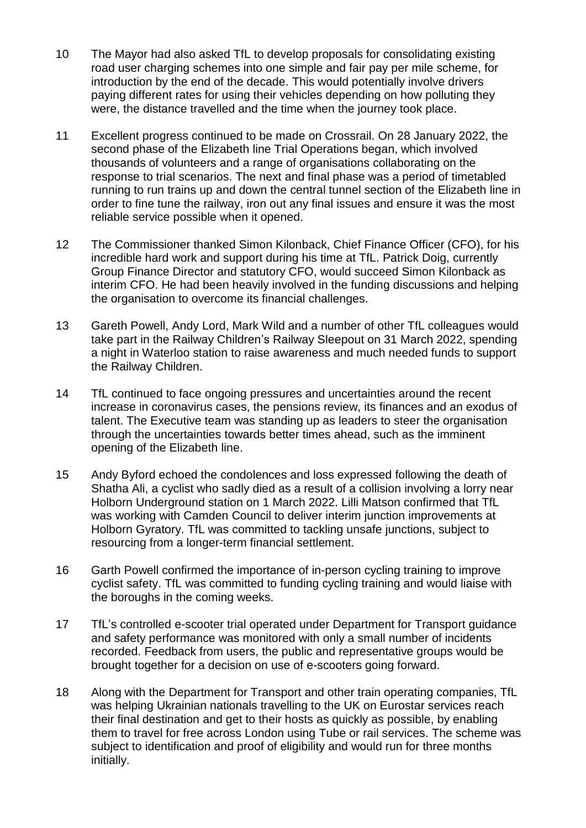- 10 The Mayor had also asked TfL to develop proposals for consolidating existing road user charging schemes into one simple and fair pay per mile scheme, for introduction by the end of the decade. This would potentially involve drivers paying different rates for using their vehicles depending on how polluting they were, the distance travelled and the time when the journey took place.
- 11 Excellent progress continued to be made on Crossrail. On 28 January 2022, the second phase of the Elizabeth line Trial Operations began, which involved thousands of volunteers and a range of organisations collaborating on the response to trial scenarios. The next and final phase was a period of timetabled running to run trains up and down the central tunnel section of the Elizabeth line in order to fine tune the railway, iron out any final issues and ensure it was the most reliable service possible when it opened.
- 12 The Commissioner thanked Simon Kilonback, Chief Finance Officer (CFO), for his incredible hard work and support during his time at TfL. Patrick Doig, currently Group Finance Director and statutory CFO, would succeed Simon Kilonback as interim CFO. He had been heavily involved in the funding discussions and helping the organisation to overcome its financial challenges.
- 13 Gareth Powell, Andy Lord, Mark Wild and a number of other TfL colleagues would take part in the [Railway Children's](https://tflece.newsweaver.com/s0jgotdovg/p02mne2ltwv1fbh3zbue9j/external?email=true&i=2&a=5&p=9232812&t=1066950) Railway Sleepout on 31 March 2022, spending a night in Waterloo station to raise awareness and much needed funds to support the [Railway Children.](https://tflece.newsweaver.com/s0jgotdovg/kbuwanffv6x1fbh3zbue9j/external?email=true&a=5&p=9232812&t=1066950)
- 14 TfL continued to face ongoing pressures and uncertainties around the recent increase in coronavirus cases, the pensions review, its finances and an exodus of talent. The Executive team was standing up as leaders to steer the organisation through the uncertainties towards better times ahead, such as the imminent opening of the Elizabeth line.
- 15 Andy Byford echoed the condolences and loss expressed following the death of Shatha Ali, a cyclist who sadly died as a result of a collision involving a lorry near Holborn Underground station on 1 March 2022. Lilli Matson confirmed that TfL was working with Camden Council to deliver interim junction improvements at Holborn Gyratory. TfL was committed to tackling unsafe junctions, subject to resourcing from a longer-term financial settlement.
- 16 Garth Powell confirmed the importance of in-person cycling training to improve cyclist safety. TfL was committed to funding cycling training and would liaise with the boroughs in the coming weeks.
- 17 TfL's controlled e-scooter trial operated under Department for Transport guidance and safety performance was monitored with only a small number of incidents recorded. Feedback from users, the public and representative groups would be brought together for a decision on use of e-scooters going forward.
- 18 Along with the Department for Transport and other train operating companies, TfL was helping Ukrainian nationals travelling to the UK on Eurostar services reach their final destination and get to their hosts as quickly as possible, by enabling them to travel for free across London using Tube or rail services. The scheme was subject to identification and proof of eligibility and would run for three months initially.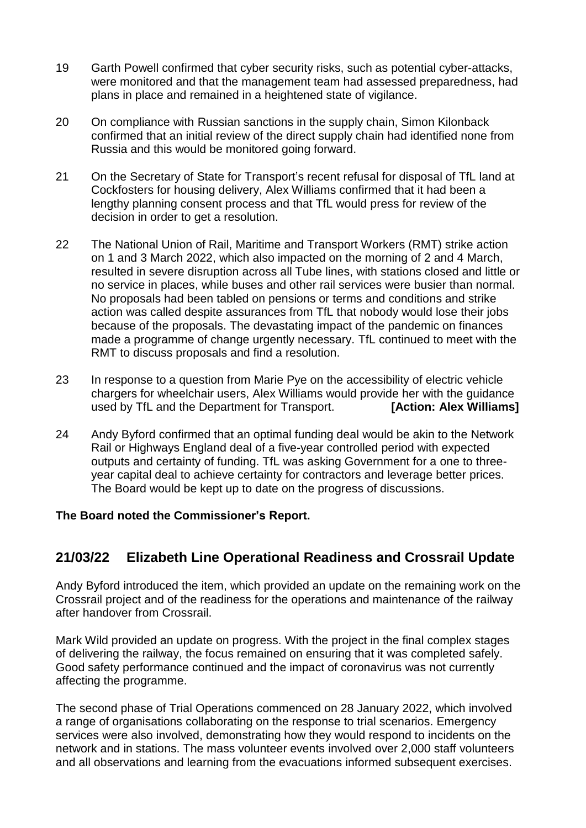- 19 Garth Powell confirmed that cyber security risks, such as potential cyber-attacks, were monitored and that the management team had assessed preparedness, had plans in place and remained in a heightened state of vigilance.
- 20 On compliance with Russian sanctions in the supply chain, Simon Kilonback confirmed that an initial review of the direct supply chain had identified none from Russia and this would be monitored going forward.
- 21 On the Secretary of State for Transport's recent refusal for disposal of TfL land at Cockfosters for housing delivery, Alex Williams confirmed that it had been a lengthy planning consent process and that TfL would press for review of the decision in order to get a resolution.
- 22 The National Union of Rail, Maritime and Transport Workers (RMT) strike action on 1 and 3 March 2022, which also impacted on the morning of 2 and 4 March, resulted in severe disruption across all Tube lines, with stations closed and little or no service in places, while buses and other rail services were busier than normal. No proposals had been tabled on pensions or terms and conditions and strike action was called despite assurances from TfL that nobody would lose their jobs because of the proposals. The devastating impact of the pandemic on finances made a programme of change urgently necessary. TfL continued to meet with the RMT to discuss proposals and find a resolution.
- 23 In response to a question from Marie Pye on the accessibility of electric vehicle chargers for wheelchair users, Alex Williams would provide her with the guidance used by TfL and the Department for Transport. **[Action: Alex Williams]**
- 24 Andy Byford confirmed that an optimal funding deal would be akin to the Network Rail or Highways England deal of a five-year controlled period with expected outputs and certainty of funding. TfL was asking Government for a one to threeyear capital deal to achieve certainty for contractors and leverage better prices. The Board would be kept up to date on the progress of discussions.

#### **The Board noted the Commissioner's Report.**

## **21/03/22 Elizabeth Line Operational Readiness and Crossrail Update**

Andy Byford introduced the item, which provided an update on the remaining work on the Crossrail project and of the readiness for the operations and maintenance of the railway after handover from Crossrail.

Mark Wild provided an update on progress. With the project in the final complex stages of delivering the railway, the focus remained on ensuring that it was completed safely. Good safety performance continued and the impact of coronavirus was not currently affecting the programme.

The second phase of Trial Operations commenced on 28 January 2022, which involved a range of organisations collaborating on the response to trial scenarios. Emergency services were also involved, demonstrating how they would respond to incidents on the network and in stations. The mass volunteer events involved over 2,000 staff volunteers and all observations and learning from the evacuations informed subsequent exercises.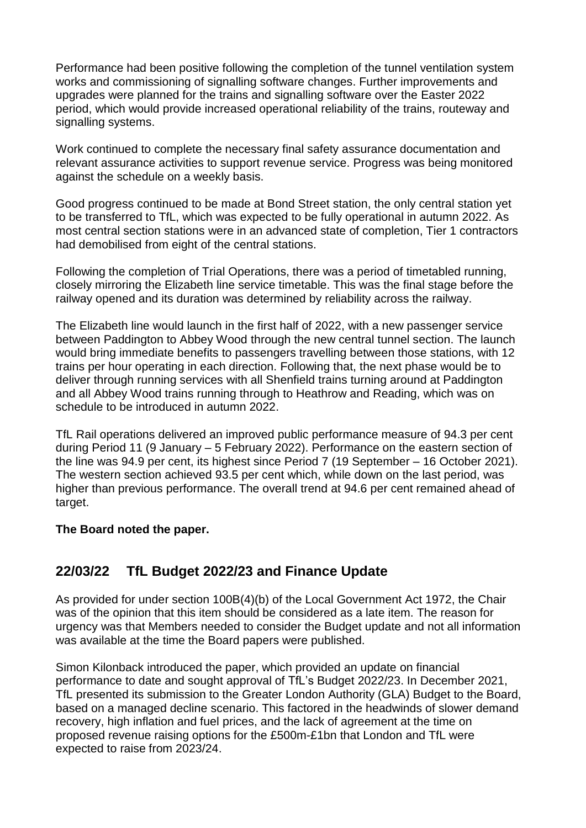Performance had been positive following the completion of the tunnel ventilation system works and commissioning of signalling software changes. Further improvements and upgrades were planned for the trains and signalling software over the Easter 2022 period, which would provide increased operational reliability of the trains, routeway and signalling systems.

Work continued to complete the necessary final safety assurance documentation and relevant assurance activities to support revenue service. Progress was being monitored against the schedule on a weekly basis.

Good progress continued to be made at Bond Street station, the only central station yet to be transferred to TfL, which was expected to be fully operational in autumn 2022. As most central section stations were in an advanced state of completion, Tier 1 contractors had demobilised from eight of the central stations.

Following the completion of Trial Operations, there was a period of timetabled running, closely mirroring the Elizabeth line service timetable. This was the final stage before the railway opened and its duration was determined by reliability across the railway.

The Elizabeth line would launch in the first half of 2022, with a new passenger service between Paddington to Abbey Wood through the new central tunnel section. The launch would bring immediate benefits to passengers travelling between those stations, with 12 trains per hour operating in each direction. Following that, the next phase would be to deliver through running services with all Shenfield trains turning around at Paddington and all Abbey Wood trains running through to Heathrow and Reading, which was on schedule to be introduced in autumn 2022.

TfL Rail operations delivered an improved public performance measure of 94.3 per cent during Period 11 (9 January – 5 February 2022). Performance on the eastern section of the line was 94.9 per cent, its highest since Period 7 (19 September – 16 October 2021). The western section achieved 93.5 per cent which, while down on the last period, was higher than previous performance. The overall trend at 94.6 per cent remained ahead of target.

#### **The Board noted the paper.**

## **22/03/22 TfL Budget 2022/23 and Finance Update**

As provided for under section 100B(4)(b) of the Local Government Act 1972, the Chair was of the opinion that this item should be considered as a late item. The reason for urgency was that Members needed to consider the Budget update and not all information was available at the time the Board papers were published.

Simon Kilonback introduced the paper, which provided an update on financial performance to date and sought approval of TfL's Budget 2022/23. In December 2021, TfL presented its submission to the Greater London Authority (GLA) Budget to the Board, based on a managed decline scenario. This factored in the headwinds of slower demand recovery, high inflation and fuel prices, and the lack of agreement at the time on proposed revenue raising options for the £500m-£1bn that London and TfL were expected to raise from 2023/24.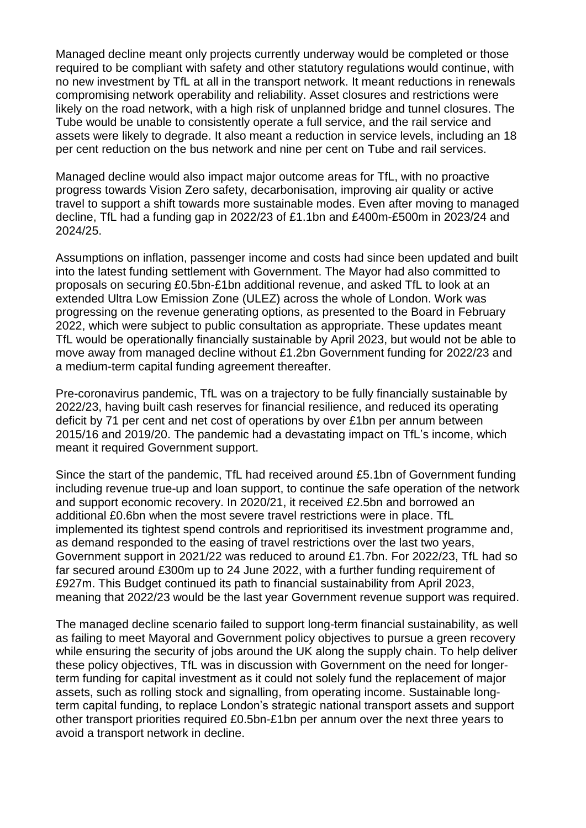Managed decline meant only projects currently underway would be completed or those required to be compliant with safety and other statutory regulations would continue, with no new investment by TfL at all in the transport network. It meant reductions in renewals compromising network operability and reliability. Asset closures and restrictions were likely on the road network, with a high risk of unplanned bridge and tunnel closures. The Tube would be unable to consistently operate a full service, and the rail service and assets were likely to degrade. It also meant a reduction in service levels, including an 18 per cent reduction on the bus network and nine per cent on Tube and rail services.

Managed decline would also impact major outcome areas for TfL, with no proactive progress towards Vision Zero safety, decarbonisation, improving air quality or active travel to support a shift towards more sustainable modes. Even after moving to managed decline, TfL had a funding gap in 2022/23 of £1.1bn and £400m-£500m in 2023/24 and 2024/25.

Assumptions on inflation, passenger income and costs had since been updated and built into the latest funding settlement with Government. The Mayor had also committed to proposals on securing £0.5bn-£1bn additional revenue, and asked TfL to look at an extended Ultra Low Emission Zone (ULEZ) across the whole of London. Work was progressing on the revenue generating options, as presented to the Board in February 2022, which were subject to public consultation as appropriate. These updates meant TfL would be operationally financially sustainable by April 2023, but would not be able to move away from managed decline without £1.2bn Government funding for 2022/23 and a medium-term capital funding agreement thereafter.

Pre-coronavirus pandemic, TfL was on a trajectory to be fully financially sustainable by 2022/23, having built cash reserves for financial resilience, and reduced its operating deficit by 71 per cent and net cost of operations by over £1bn per annum between 2015/16 and 2019/20. The pandemic had a devastating impact on TfL's income, which meant it required Government support.

Since the start of the pandemic, TfL had received around £5.1bn of Government funding including revenue true-up and loan support, to continue the safe operation of the network and support economic recovery. In 2020/21, it received £2.5bn and borrowed an additional £0.6bn when the most severe travel restrictions were in place. TfL implemented its tightest spend controls and reprioritised its investment programme and, as demand responded to the easing of travel restrictions over the last two years, Government support in 2021/22 was reduced to around £1.7bn. For 2022/23, TfL had so far secured around £300m up to 24 June 2022, with a further funding requirement of £927m. This Budget continued its path to financial sustainability from April 2023, meaning that 2022/23 would be the last year Government revenue support was required.

The managed decline scenario failed to support long-term financial sustainability, as well as failing to meet Mayoral and Government policy objectives to pursue a green recovery while ensuring the security of jobs around the UK along the supply chain. To help deliver these policy objectives, TfL was in discussion with Government on the need for longerterm funding for capital investment as it could not solely fund the replacement of major assets, such as rolling stock and signalling, from operating income. Sustainable longterm capital funding, to replace London's strategic national transport assets and support other transport priorities required £0.5bn-£1bn per annum over the next three years to avoid a transport network in decline.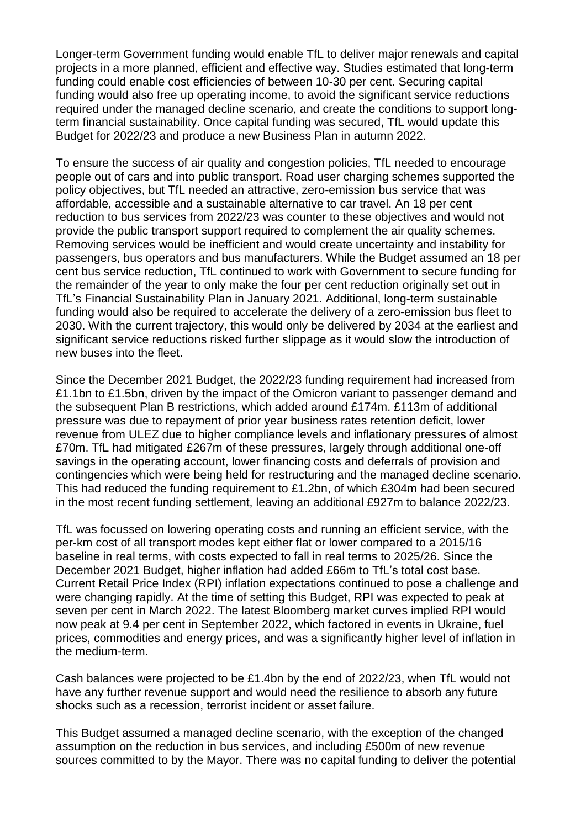Longer-term Government funding would enable TfL to deliver major renewals and capital projects in a more planned, efficient and effective way. Studies estimated that long-term funding could enable cost efficiencies of between 10-30 per cent. Securing capital funding would also free up operating income, to avoid the significant service reductions required under the managed decline scenario, and create the conditions to support longterm financial sustainability. Once capital funding was secured, TfL would update this Budget for 2022/23 and produce a new Business Plan in autumn 2022.

To ensure the success of air quality and congestion policies, TfL needed to encourage people out of cars and into public transport. Road user charging schemes supported the policy objectives, but TfL needed an attractive, zero-emission bus service that was affordable, accessible and a sustainable alternative to car travel. An 18 per cent reduction to bus services from 2022/23 was counter to these objectives and would not provide the public transport support required to complement the air quality schemes. Removing services would be inefficient and would create uncertainty and instability for passengers, bus operators and bus manufacturers. While the Budget assumed an 18 per cent bus service reduction, TfL continued to work with Government to secure funding for the remainder of the year to only make the four per cent reduction originally set out in TfL's Financial Sustainability Plan in January 2021. Additional, long-term sustainable funding would also be required to accelerate the delivery of a zero-emission bus fleet to 2030. With the current trajectory, this would only be delivered by 2034 at the earliest and significant service reductions risked further slippage as it would slow the introduction of new buses into the fleet.

Since the December 2021 Budget, the 2022/23 funding requirement had increased from £1.1bn to £1.5bn, driven by the impact of the Omicron variant to passenger demand and the subsequent Plan B restrictions, which added around £174m. £113m of additional pressure was due to repayment of prior year business rates retention deficit, lower revenue from ULEZ due to higher compliance levels and inflationary pressures of almost £70m. TfL had mitigated £267m of these pressures, largely through additional one-off savings in the operating account, lower financing costs and deferrals of provision and contingencies which were being held for restructuring and the managed decline scenario. This had reduced the funding requirement to £1.2bn, of which £304m had been secured in the most recent funding settlement, leaving an additional £927m to balance 2022/23.

TfL was focussed on lowering operating costs and running an efficient service, with the per-km cost of all transport modes kept either flat or lower compared to a 2015/16 baseline in real terms, with costs expected to fall in real terms to 2025/26. Since the December 2021 Budget, higher inflation had added £66m to TfL's total cost base. Current Retail Price Index (RPI) inflation expectations continued to pose a challenge and were changing rapidly. At the time of setting this Budget, RPI was expected to peak at seven per cent in March 2022. The latest Bloomberg market curves implied RPI would now peak at 9.4 per cent in September 2022, which factored in events in Ukraine, fuel prices, commodities and energy prices, and was a significantly higher level of inflation in the medium-term.

Cash balances were projected to be £1.4bn by the end of 2022/23, when TfL would not have any further revenue support and would need the resilience to absorb any future shocks such as a recession, terrorist incident or asset failure.

This Budget assumed a managed decline scenario, with the exception of the changed assumption on the reduction in bus services, and including £500m of new revenue sources committed to by the Mayor. There was no capital funding to deliver the potential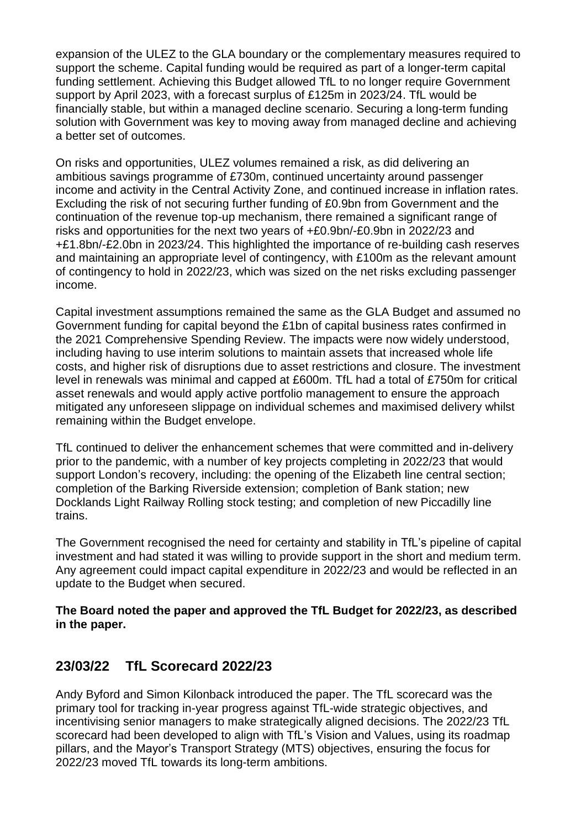expansion of the ULEZ to the GLA boundary or the complementary measures required to support the scheme. Capital funding would be required as part of a longer-term capital funding settlement. Achieving this Budget allowed TfL to no longer require Government support by April 2023, with a forecast surplus of £125m in 2023/24. TfL would be financially stable, but within a managed decline scenario. Securing a long-term funding solution with Government was key to moving away from managed decline and achieving a better set of outcomes.

On risks and opportunities, ULEZ volumes remained a risk, as did delivering an ambitious savings programme of £730m, continued uncertainty around passenger income and activity in the Central Activity Zone, and continued increase in inflation rates. Excluding the risk of not securing further funding of £0.9bn from Government and the continuation of the revenue top-up mechanism, there remained a significant range of risks and opportunities for the next two years of +£0.9bn/-£0.9bn in 2022/23 and +£1.8bn/-£2.0bn in 2023/24. This highlighted the importance of re-building cash reserves and maintaining an appropriate level of contingency, with £100m as the relevant amount of contingency to hold in 2022/23, which was sized on the net risks excluding passenger income.

Capital investment assumptions remained the same as the GLA Budget and assumed no Government funding for capital beyond the £1bn of capital business rates confirmed in the 2021 Comprehensive Spending Review. The impacts were now widely understood, including having to use interim solutions to maintain assets that increased whole life costs, and higher risk of disruptions due to asset restrictions and closure. The investment level in renewals was minimal and capped at £600m. TfL had a total of £750m for critical asset renewals and would apply active portfolio management to ensure the approach mitigated any unforeseen slippage on individual schemes and maximised delivery whilst remaining within the Budget envelope.

TfL continued to deliver the enhancement schemes that were committed and in-delivery prior to the pandemic, with a number of key projects completing in 2022/23 that would support London's recovery, including: the opening of the Elizabeth line central section; completion of the Barking Riverside extension; completion of Bank station; new Docklands Light Railway Rolling stock testing; and completion of new Piccadilly line trains.

The Government recognised the need for certainty and stability in TfL's pipeline of capital investment and had stated it was willing to provide support in the short and medium term. Any agreement could impact capital expenditure in 2022/23 and would be reflected in an update to the Budget when secured.

#### **The Board noted the paper and approved the TfL Budget for 2022/23, as described in the paper.**

## **23/03/22 TfL Scorecard 2022/23**

Andy Byford and Simon Kilonback introduced the paper. The TfL scorecard was the primary tool for tracking in-year progress against TfL-wide strategic objectives, and incentivising senior managers to make strategically aligned decisions. The 2022/23 TfL scorecard had been developed to align with TfL's Vision and Values, using its roadmap pillars, and the Mayor's Transport Strategy (MTS) objectives, ensuring the focus for 2022/23 moved TfL towards its long-term ambitions.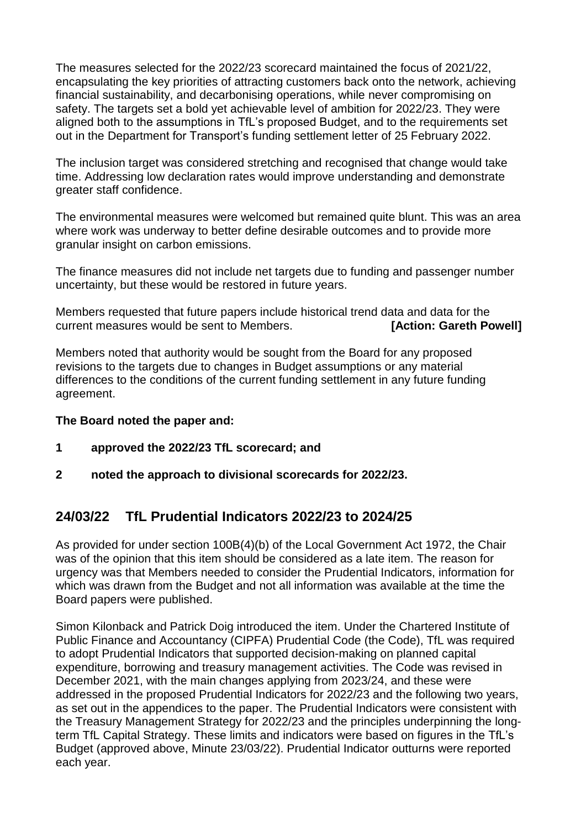The measures selected for the 2022/23 scorecard maintained the focus of 2021/22, encapsulating the key priorities of attracting customers back onto the network, achieving financial sustainability, and decarbonising operations, while never compromising on safety. The targets set a bold yet achievable level of ambition for 2022/23. They were aligned both to the assumptions in TfL's proposed Budget, and to the requirements set out in the Department for Transport's funding settlement letter of 25 February 2022.

The inclusion target was considered stretching and recognised that change would take time. Addressing low declaration rates would improve understanding and demonstrate greater staff confidence.

The environmental measures were welcomed but remained quite blunt. This was an area where work was underway to better define desirable outcomes and to provide more granular insight on carbon emissions.

The finance measures did not include net targets due to funding and passenger number uncertainty, but these would be restored in future years.

Members requested that future papers include historical trend data and data for the current measures would be sent to Members. **[Action: Gareth Powell]**

Members noted that authority would be sought from the Board for any proposed revisions to the targets due to changes in Budget assumptions or any material differences to the conditions of the current funding settlement in any future funding agreement.

#### **The Board noted the paper and:**

- **1 approved the 2022/23 TfL scorecard; and**
- **2 noted the approach to divisional scorecards for 2022/23.**

### **24/03/22 TfL Prudential Indicators 2022/23 to 2024/25**

As provided for under section 100B(4)(b) of the Local Government Act 1972, the Chair was of the opinion that this item should be considered as a late item. The reason for urgency was that Members needed to consider the Prudential Indicators, information for which was drawn from the Budget and not all information was available at the time the Board papers were published.

Simon Kilonback and Patrick Doig introduced the item. Under the Chartered Institute of Public Finance and Accountancy (CIPFA) Prudential Code (the Code), TfL was required to adopt Prudential Indicators that supported decision-making on planned capital expenditure, borrowing and treasury management activities. The Code was revised in December 2021, with the main changes applying from 2023/24, and these were addressed in the proposed Prudential Indicators for 2022/23 and the following two years, as set out in the appendices to the paper. The Prudential Indicators were consistent with the Treasury Management Strategy for 2022/23 and the principles underpinning the longterm TfL Capital Strategy. These limits and indicators were based on figures in the TfL's Budget (approved above, Minute 23/03/22). Prudential Indicator outturns were reported each year.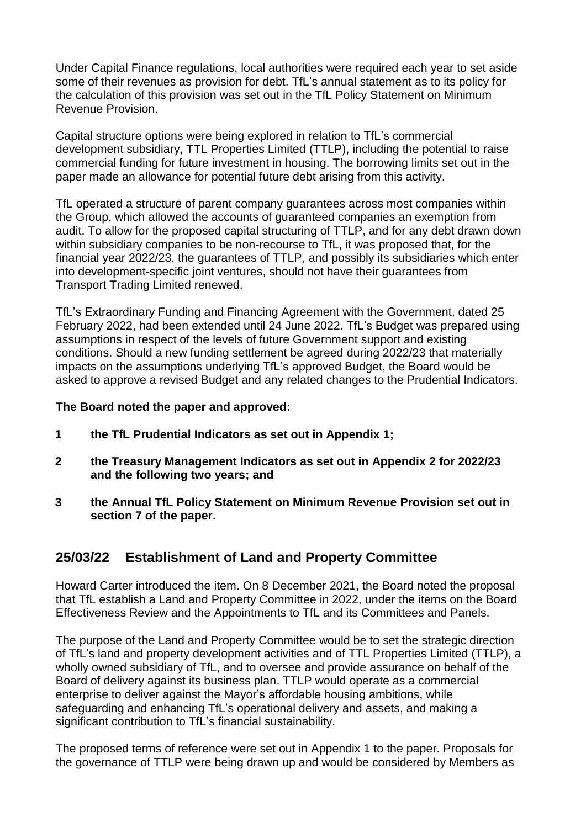Under Capital Finance regulations, local authorities were required each year to set aside some of their revenues as provision for debt. TfL's annual statement as to its policy for the calculation of this provision was set out in the TfL Policy Statement on Minimum Revenue Provision.

Capital structure options were being explored in relation to TfL's commercial development subsidiary, TTL Properties Limited (TTLP), including the potential to raise commercial funding for future investment in housing. The borrowing limits set out in the paper made an allowance for potential future debt arising from this activity.

TfL operated a structure of parent company guarantees across most companies within the Group, which allowed the accounts of guaranteed companies an exemption from audit. To allow for the proposed capital structuring of TTLP, and for any debt drawn down within subsidiary companies to be non-recourse to TfL, it was proposed that, for the financial year 2022/23, the guarantees of TTLP, and possibly its subsidiaries which enter into development-specific joint ventures, should not have their guarantees from Transport Trading Limited renewed.

TfL's Extraordinary Funding and Financing Agreement with the Government, dated 25 February 2022, had been extended until 24 June 2022. TfL's Budget was prepared using assumptions in respect of the levels of future Government support and existing conditions. Should a new funding settlement be agreed during 2022/23 that materially impacts on the assumptions underlying TfL's approved Budget, the Board would be asked to approve a revised Budget and any related changes to the Prudential Indicators.

#### **The Board noted the paper and approved:**

- **1 the TfL Prudential Indicators as set out in Appendix 1;**
- **2 the Treasury Management Indicators as set out in Appendix 2 for 2022/23 and the following two years; and**
- **3 the Annual TfL Policy Statement on Minimum Revenue Provision set out in section 7 of the paper.**

## **25/03/22 Establishment of Land and Property Committee**

Howard Carter introduced the item. On 8 December 2021, the Board noted the proposal that TfL establish a Land and Property Committee in 2022, under the items on the Board Effectiveness Review and the Appointments to TfL and its Committees and Panels.

The purpose of the Land and Property Committee would be to set the strategic direction of TfL's land and property development activities and of TTL Properties Limited (TTLP), a wholly owned subsidiary of TfL, and to oversee and provide assurance on behalf of the Board of delivery against its business plan. TTLP would operate as a commercial enterprise to deliver against the Mayor's affordable housing ambitions, while safeguarding and enhancing TfL's operational delivery and assets, and making a significant contribution to TfL's financial sustainability.

The proposed terms of reference were set out in Appendix 1 to the paper. Proposals for the governance of TTLP were being drawn up and would be considered by Members as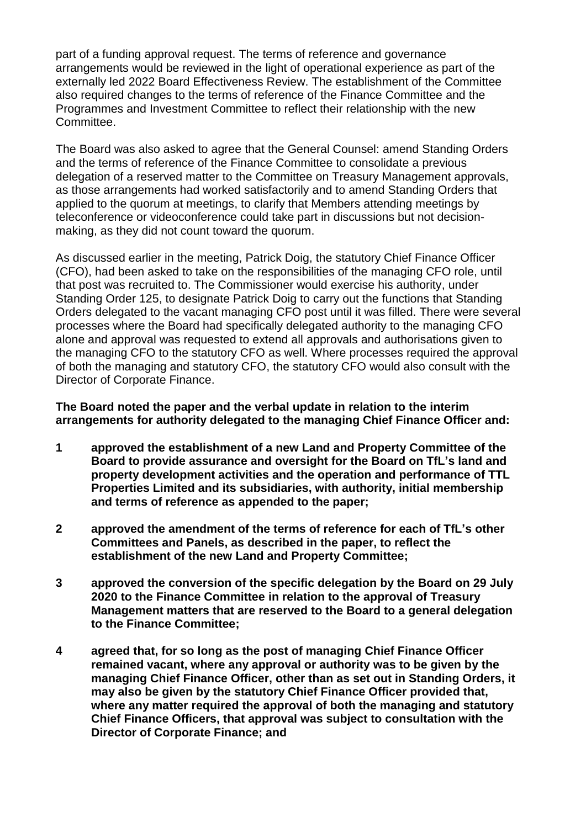part of a funding approval request. The terms of reference and governance arrangements would be reviewed in the light of operational experience as part of the externally led 2022 Board Effectiveness Review. The establishment of the Committee also required changes to the terms of reference of the Finance Committee and the Programmes and Investment Committee to reflect their relationship with the new Committee.

The Board was also asked to agree that the General Counsel: amend Standing Orders and the terms of reference of the Finance Committee to consolidate a previous delegation of a reserved matter to the Committee on Treasury Management approvals, as those arrangements had worked satisfactorily and to amend Standing Orders that applied to the quorum at meetings, to clarify that Members attending meetings by teleconference or videoconference could take part in discussions but not decisionmaking, as they did not count toward the quorum.

As discussed earlier in the meeting, Patrick Doig, the statutory Chief Finance Officer (CFO), had been asked to take on the responsibilities of the managing CFO role, until that post was recruited to. The Commissioner would exercise his authority, under Standing Order 125, to designate Patrick Doig to carry out the functions that Standing Orders delegated to the vacant managing CFO post until it was filled. There were several processes where the Board had specifically delegated authority to the managing CFO alone and approval was requested to extend all approvals and authorisations given to the managing CFO to the statutory CFO as well. Where processes required the approval of both the managing and statutory CFO, the statutory CFO would also consult with the Director of Corporate Finance.

#### **The Board noted the paper and the verbal update in relation to the interim arrangements for authority delegated to the managing Chief Finance Officer and:**

- **1 approved the establishment of a new Land and Property Committee of the Board to provide assurance and oversight for the Board on TfL's land and property development activities and the operation and performance of TTL Properties Limited and its subsidiaries, with authority, initial membership and terms of reference as appended to the paper;**
- **2 approved the amendment of the terms of reference for each of TfL's other Committees and Panels, as described in the paper, to reflect the establishment of the new Land and Property Committee;**
- **3 approved the conversion of the specific delegation by the Board on 29 July 2020 to the Finance Committee in relation to the approval of Treasury Management matters that are reserved to the Board to a general delegation to the Finance Committee;**
- **4 agreed that, for so long as the post of managing Chief Finance Officer remained vacant, where any approval or authority was to be given by the managing Chief Finance Officer, other than as set out in Standing Orders, it may also be given by the statutory Chief Finance Officer provided that, where any matter required the approval of both the managing and statutory Chief Finance Officers, that approval was subject to consultation with the Director of Corporate Finance; and**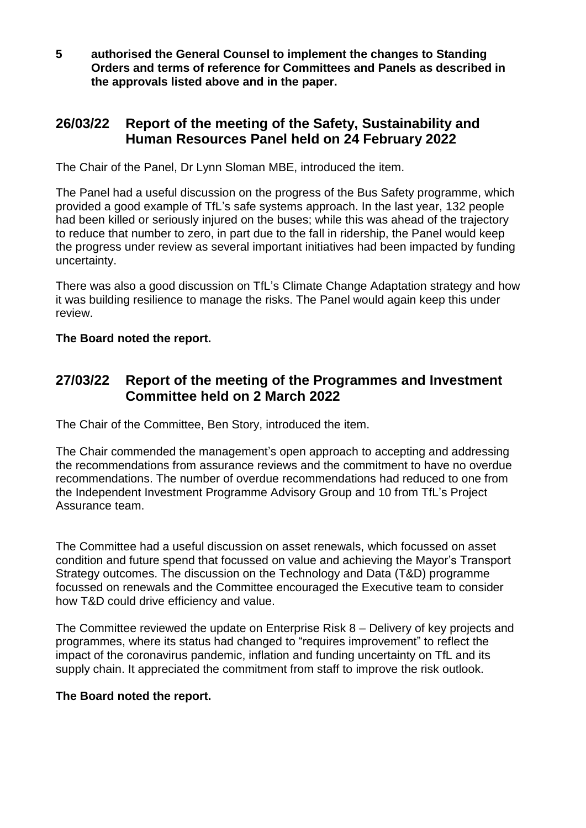**5 authorised the General Counsel to implement the changes to Standing Orders and terms of reference for Committees and Panels as described in the approvals listed above and in the paper.**

### **26/03/22 Report of the meeting of the Safety, Sustainability and Human Resources Panel held on 24 February 2022**

The Chair of the Panel, Dr Lynn Sloman MBE, introduced the item.

The Panel had a useful discussion on the progress of the Bus Safety programme, which provided a good example of TfL's safe systems approach. In the last year, 132 people had been killed or seriously injured on the buses; while this was ahead of the trajectory to reduce that number to zero, in part due to the fall in ridership, the Panel would keep the progress under review as several important initiatives had been impacted by funding uncertainty.

There was also a good discussion on TfL's Climate Change Adaptation strategy and how it was building resilience to manage the risks. The Panel would again keep this under review.

### **The Board noted the report.**

### **27/03/22 Report of the meeting of the Programmes and Investment Committee held on 2 March 2022**

The Chair of the Committee, Ben Story, introduced the item.

The Chair commended the management's open approach to accepting and addressing the recommendations from assurance reviews and the commitment to have no overdue recommendations. The number of overdue recommendations had reduced to one from the Independent Investment Programme Advisory Group and 10 from TfL's Project Assurance team.

The Committee had a useful discussion on asset renewals, which focussed on asset condition and future spend that focussed on value and achieving the Mayor's Transport Strategy outcomes. The discussion on the Technology and Data (T&D) programme focussed on renewals and the Committee encouraged the Executive team to consider how T&D could drive efficiency and value.

The Committee reviewed the update on Enterprise Risk 8 – Delivery of key projects and programmes, where its status had changed to "requires improvement" to reflect the impact of the coronavirus pandemic, inflation and funding uncertainty on TfL and its supply chain. It appreciated the commitment from staff to improve the risk outlook.

#### **The Board noted the report.**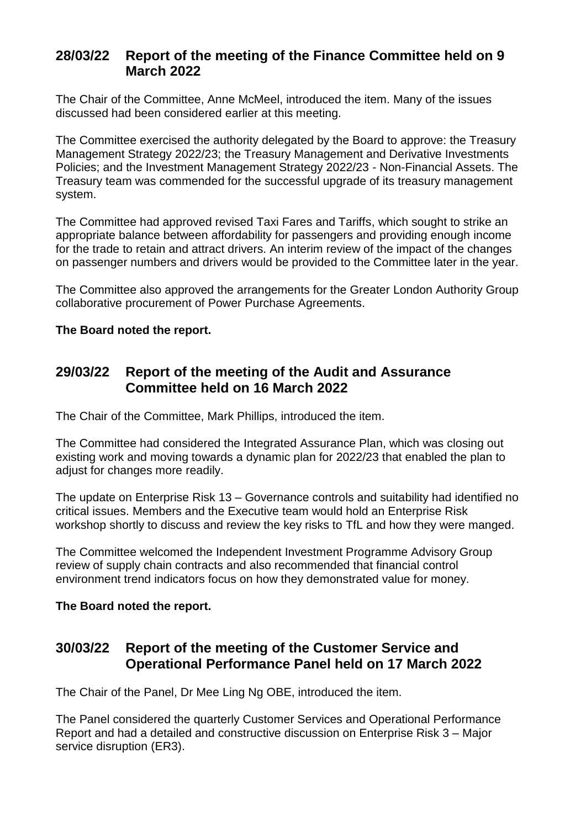# **28/03/22 Report of the meeting of the Finance Committee held on 9 March 2022**

The Chair of the Committee, Anne McMeel, introduced the item. Many of the issues discussed had been considered earlier at this meeting.

The Committee exercised the authority delegated by the Board to approve: the Treasury Management Strategy 2022/23; the Treasury Management and Derivative Investments Policies; and the Investment Management Strategy 2022/23 - Non-Financial Assets. The Treasury team was commended for the successful upgrade of its treasury management system.

The Committee had approved revised Taxi Fares and Tariffs, which sought to strike an appropriate balance between affordability for passengers and providing enough income for the trade to retain and attract drivers. An interim review of the impact of the changes on passenger numbers and drivers would be provided to the Committee later in the year.

The Committee also approved the arrangements for the Greater London Authority Group collaborative procurement of Power Purchase Agreements.

#### **The Board noted the report.**

### **29/03/22 Report of the meeting of the Audit and Assurance Committee held on 16 March 2022**

The Chair of the Committee, Mark Phillips, introduced the item.

The Committee had considered the Integrated Assurance Plan, which was closing out existing work and moving towards a dynamic plan for 2022/23 that enabled the plan to adjust for changes more readily.

The update on Enterprise Risk 13 – Governance controls and suitability had identified no critical issues. Members and the Executive team would hold an Enterprise Risk workshop shortly to discuss and review the key risks to TfL and how they were manged.

The Committee welcomed the Independent Investment Programme Advisory Group review of supply chain contracts and also recommended that financial control environment trend indicators focus on how they demonstrated value for money.

#### **The Board noted the report.**

## **30/03/22 Report of the meeting of the Customer Service and Operational Performance Panel held on 17 March 2022**

The Chair of the Panel, Dr Mee Ling Ng OBE, introduced the item.

The Panel considered the quarterly Customer Services and Operational Performance Report and had a detailed and constructive discussion on Enterprise Risk 3 – Major service disruption (ER3).